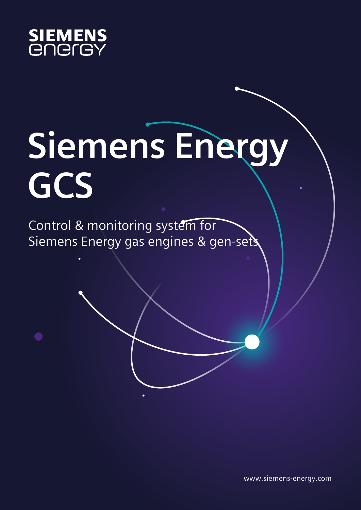

## **Siemens Energy GCS**

Control & monitoring system for Siemens Energy gas engines & gen-sets

www.siemens-energy.com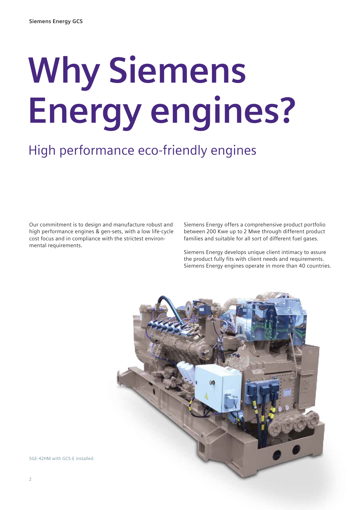# **Why Siemens Energy engines?**

### High performance eco-friendly engines

Our commitment is to design and manufacture robust and high performance engines & gen-sets, with a low life-cycle cost focus and in compliance with the strictest environmental requirements.

Siemens Energy offers a comprehensive product portfolio between 200 Kwe up to 2 Mwe through different product families and suitable for all sort of different fuel gases.

Siemens Energy develops unique client intimacy to assure the product fully fits with client needs and requirements. Siemens Energy engines operate in more than 40 countries.



SGE-42HM with GCS-E installed.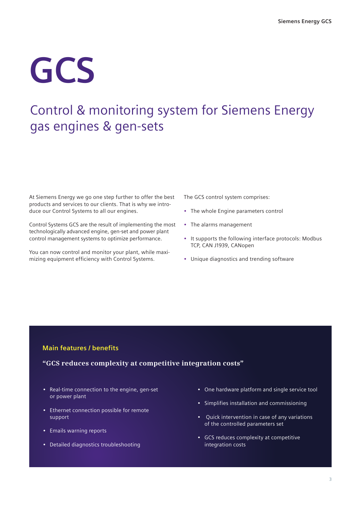## **GCS**

### Control & monitoring system for Siemens Energy gas engines & gen-sets

At Siemens Energy we go one step further to offer the best products and services to our clients. That is why we introduce our Control Systems to all our engines.

Control Systems GCS are the result of implementing the most technologically advanced engine, gen-set and power plant control management systems to optimize performance.

You can now control and monitor your plant, while maximizing equipment efficiency with Control Systems.

The GCS control system comprises:

- The whole Engine parameters control
- The alarms management
- It supports the following interface protocols: Modbus TCP, CAN J1939, CANopen
- Unique diagnostics and trending software

#### **Main features / benefits**

#### **"GCS reduces complexity at competitive integration costs"**

- Real-time connection to the engine, gen-set or power plant
- Ethernet connection possible for remote support
- Emails warning reports
- Detailed diagnostics troubleshooting
- One hardware platform and single service tool
- Simplifies installation and commissioning
- Quick intervention in case of any variations of the controlled parameters set
- GCS reduces complexity at competitive integration costs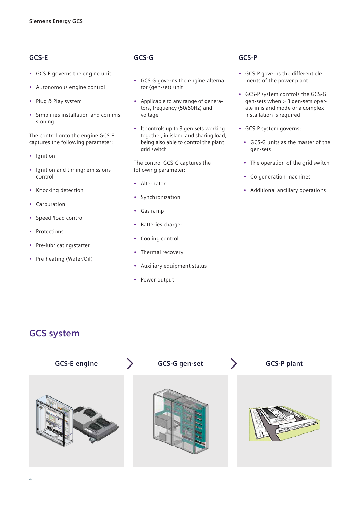#### **GCS-E**

- GCS-E governs the engine unit.
- Autonomous engine control
- Plug & Play system
- Simplifies installation and commissioning

The control onto the engine GCS-E captures the following parameter:

- Ignition
- Ignition and timing; emissions control
- Knocking detection
- Carburation
- Speed /load control
- Protections
- Pre-lubricating/starter
- Pre-heating (Water/Oil)

#### **GCS-G**

- GCS-G governs the engine-alternator (gen-set) unit
- Applicable to any range of generators, frequency (50/60Hz) and voltage
- It controls up to 3 gen-sets working together, in island and sharing load, being also able to control the plant grid switch

The control GCS-G captures the following parameter:

- Alternator
- **Synchronization**
- Gas ramp
- Batteries charger
- Cooling control
- Thermal recovery
- Auxiliary equipment status
- Power output

#### **GCS-P**

- GCS-P governs the different elements of the power plant
- GCS-P system controls the GCS-G gen-sets when > 3 gen-sets operate in island mode or a complex installation is required
- GCS-P system governs:
	- GCS-G units as the master of the gen-sets
	- The operation of the grid switch
	- Co-generation machines
	- Additional ancillary operations

#### **GCS system**